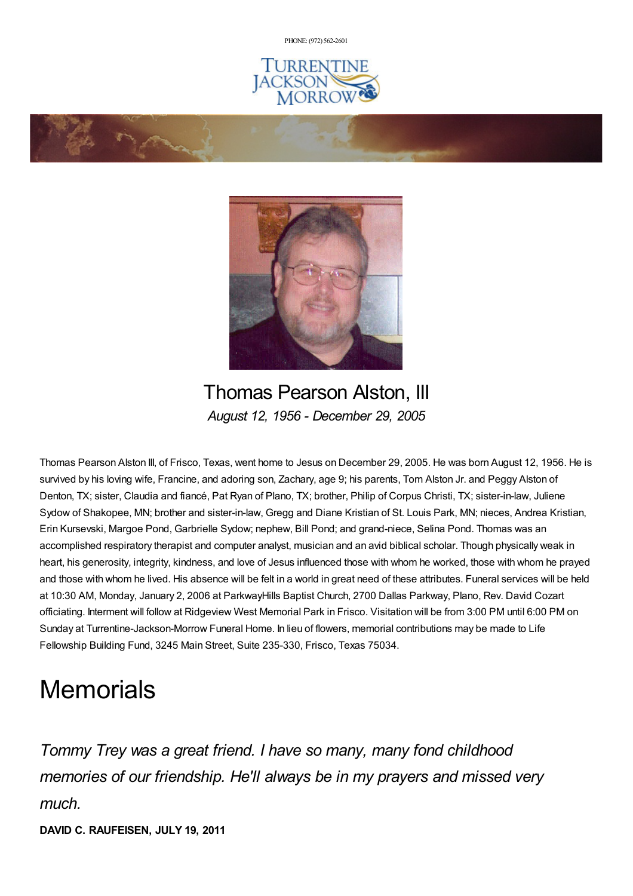PHONE: (972) [562-2601](tel:(972) 562-2601)







Thomas Pearson Alston, III *August 12, 1956 - December 29, 2005*

Thomas Pearson Alston III, of Frisco, Texas, went home to Jesus on December 29, 2005. He was born August 12, 1956. He is survived by his loving wife, Francine, and adoring son, Zachary, age 9; his parents, Tom Alston Jr. and Peggy Alston of Denton, TX; sister, Claudia and fiancé, Pat Ryan of Plano, TX; brother, Philip of Corpus Christi, TX; sister-in-law, Juliene Sydow of Shakopee, MN; brother and sister-in-law, Gregg and Diane Kristian of St. Louis Park, MN; nieces, Andrea Kristian, Erin Kursevski, Margoe Pond, Garbrielle Sydow; nephew, Bill Pond; and grand-niece, Selina Pond. Thomas was an accomplished respiratory therapist and computer analyst, musician and an avid biblical scholar. Though physically weak in heart, his generosity, integrity, kindness, and love of Jesus influenced those with whom he worked, those with whom he prayed and those with whom he lived. His absence will be felt in a world in great need of these attributes. Funeral services will be held at 10:30 AM, Monday, January 2, 2006 at ParkwayHills Baptist Church, 2700 Dallas Parkway, Plano, Rev. David Cozart officiating. Interment will follow at Ridgeview West Memorial Park in Frisco. Visitation will be from 3:00 PM until 6:00 PM on Sunday at Turrentine-Jackson-Morrow Funeral Home. In lieu of flowers, memorial contributions may be made to Life Fellowship Building Fund, 3245 Main Street, Suite 235-330, Frisco, Texas 75034.

# **Memorials**

*Tommy Trey was a great friend. I have so many, many fond childhood memories of our friendship. He'll always be in my prayers and missed very much.*

**DAVID C. RAUFEISEN, JULY 19, 2011**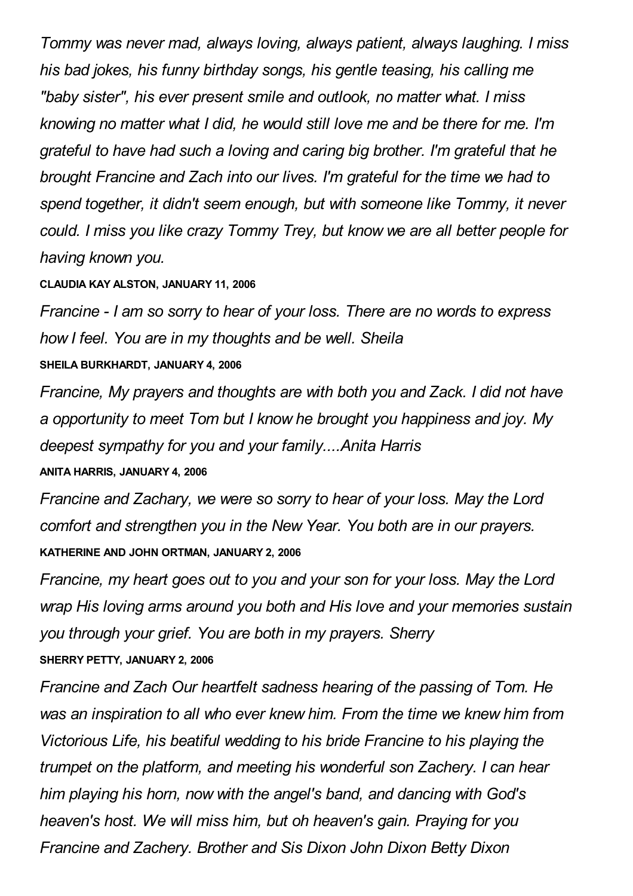*Tommy was never mad, always loving, always patient, always laughing. I miss his bad jokes, his funny birthday songs, his gentle teasing, his calling me "baby sister", his ever present smile and outlook, no matter what. I miss knowing no matter what I did, he would still love me and be there for me. I'm grateful to have had such a loving and caring big brother. I'm grateful that he brought Francine and Zach into our lives. I'm grateful for the time we had to spend together, it didn't seem enough, but with someone like Tommy, it never could. I miss you like crazy Tommy Trey, but know we are all better people for having known you.*

### **CLAUDIA KAY ALSTON, JANUARY 11, 2006**

*Francine - I am so sorry to hear of your loss. There are no words to express how I feel. You are in my thoughts and be well. Sheila* **SHEILA BURKHARDT, JANUARY 4, 2006**

*Francine, My prayers and thoughts are with both you and Zack. I did not have a opportunity to meet Tom but I know he brought you happiness and joy. My deepest sympathy for you and your family....Anita Harris*

## **ANITA HARRIS, JANUARY 4, 2006**

*Francine and Zachary, we were so sorry to hear of your loss. May the Lord comfort and strengthen you in the New Year. You both are in our prayers.* **KATHERINE AND JOHN ORTMAN, JANUARY 2, 2006**

*Francine, my heart goes out to you and your son for your loss. May the Lord wrap His loving arms around you both and His love and your memories sustain you through your grief. You are both in my prayers. Sherry* **SHERRY PETTY, JANUARY 2, 2006**

*Francine and Zach Our heartfelt sadness hearing of the passing of Tom. He was an inspiration to all who ever knew him. From the time we knew him from Victorious Life, his beatiful wedding to his bride Francine to his playing the trumpet on the platform, and meeting his wonderful son Zachery. I can hear him playing his horn, now with the angel's band, and dancing with God's heaven's host. We will miss him, but oh heaven's gain. Praying for you Francine and Zachery. Brother and Sis Dixon John Dixon Betty Dixon*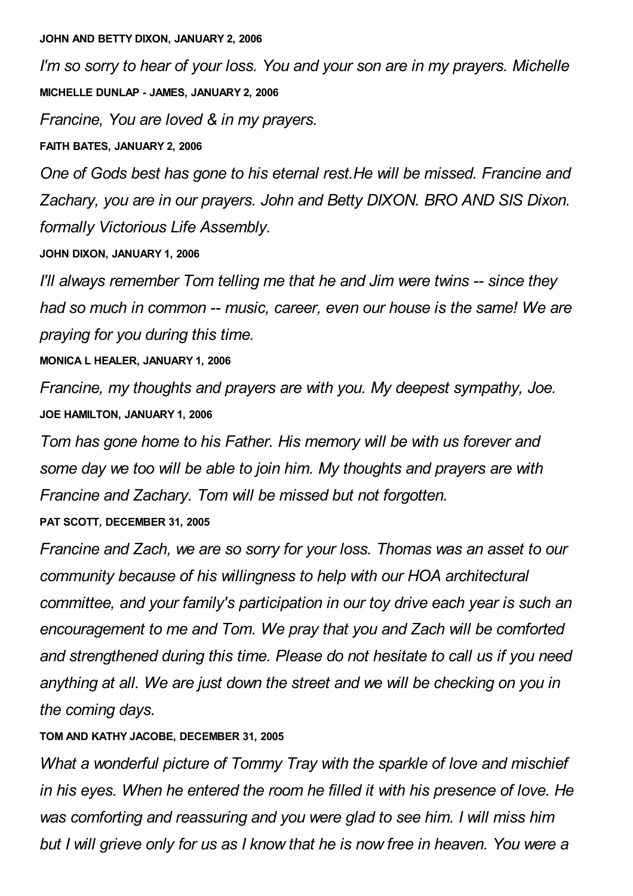#### **JOHN AND BETTY DIXON, JANUARY 2, 2006**

*I'm so sorry to hear of your loss. You and your son are in my prayers. Michelle* **MICHELLE DUNLAP - JAMES, JANUARY 2, 2006**

*Francine, You are loved & in my prayers.*

**FAITH BATES, JANUARY 2, 2006**

*One of Gods best has gone to his eternal rest.He will be missed. Francine and Zachary, you are in our prayers. John and Betty DIXON. BRO AND SIS Dixon. formally Victorious Life Assembly.*

**JOHN DIXON, JANUARY 1, 2006**

*I'll always remember Tom telling me that he and Jim were twins -- since they had so much in common -- music, career, even our house is the same! We are praying for you during this time.*

**MONICA L HEALER, JANUARY 1, 2006**

*Francine, my thoughts and prayers are with you. My deepest sympathy, Joe.* **JOE HAMILTON, JANUARY 1, 2006**

*Tom has gone home to his Father. His memory will be with us forever and some day we too will be able to join him. My thoughts and prayers are with Francine and Zachary. Tom will be missed but not forgotten.*

**PAT SCOTT, DECEMBER 31, 2005**

*Francine and Zach, we are so sorry for your loss. Thomas was an asset to our community because of his willingness to help with our HOA architectural committee, and your family's participation in our toy drive each year is such an encouragement to me and Tom. We pray that you and Zach will be comforted and strengthened during this time. Please do not hesitate to call us if you need anything at all. We are just down the street and we will be checking on you in the coming days.*

**TOM AND KATHY JACOBE, DECEMBER 31, 2005**

*What a wonderful picture of Tommy Tray with the sparkle of love and mischief in his eyes. When he entered the room he filled it with his presence of love. He was comforting and reassuring and you were glad to see him. I will miss him but I will grieve only for us as I know that he is now free in heaven. You were a*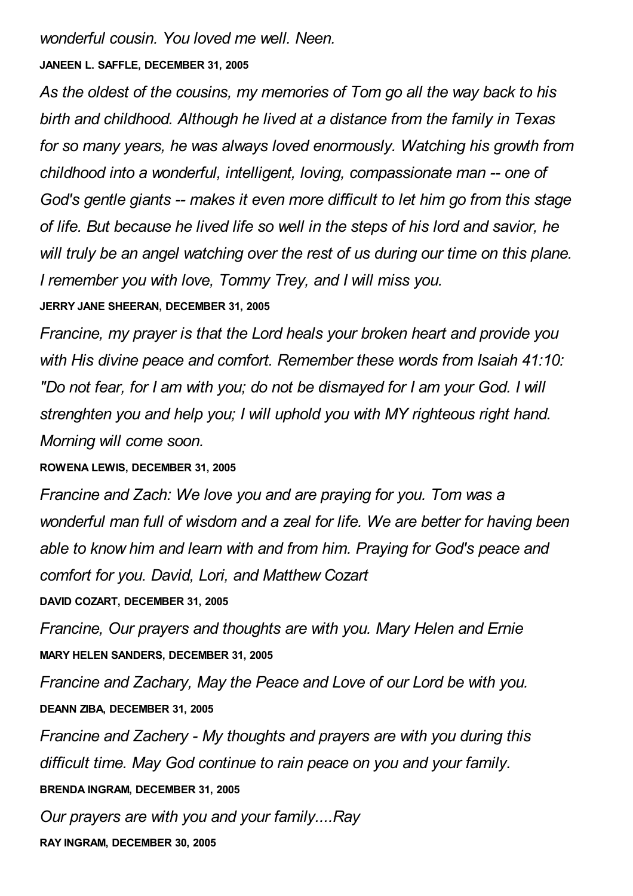*wonderful cousin. You loved me well. Neen.*

## **JANEEN L. SAFFLE, DECEMBER 31, 2005**

*As the oldest of the cousins, my memories of Tom go all the way back to his birth and childhood. Although he lived at a distance from the family in Texas for so many years, he was always loved enormously. Watching his growth from childhood into a wonderful, intelligent, loving, compassionate man -- one of God's gentle giants -- makes it even more difficult to let him go from this stage of life. But because he lived life so well in the steps of his lord and savior, he will truly be an angel watching over the rest of us during our time on this plane. I remember you with love, Tommy Trey, and I will miss you.* **JERRY JANE SHEERAN, DECEMBER 31, 2005**

*Francine, my prayer is that the Lord heals your broken heart and provide you with His divine peace and comfort. Remember these words from Isaiah 41:10: "Do not fear, for I am with you; do not be dismayed for I am your God. I will strenghten you and help you; I will uphold you with MY righteous right hand. Morning will come soon.*

## **ROWENA LEWIS, DECEMBER 31, 2005**

*Francine and Zach: We love you and are praying for you. Tom was a wonderful man full of wisdom and a zeal for life. We are better for having been able to know him and learn with and from him. Praying for God's peace and comfort for you. David, Lori, and Matthew Cozart*

**DAVID COZART, DECEMBER 31, 2005**

*Francine, Our prayers and thoughts are with you. Mary Helen and Ernie* **MARY HELEN SANDERS, DECEMBER 31, 2005**

*Francine and Zachary, May the Peace and Love of our Lord be with you.* **DEANN ZIBA, DECEMBER 31, 2005**

*Francine and Zachery - My thoughts and prayers are with you during this difficult time. May God continue to rain peace on you and your family.* **BRENDA INGRAM, DECEMBER 31, 2005**

*Our prayers are with you and your family....Ray*

**RAY INGRAM, DECEMBER 30, 2005**